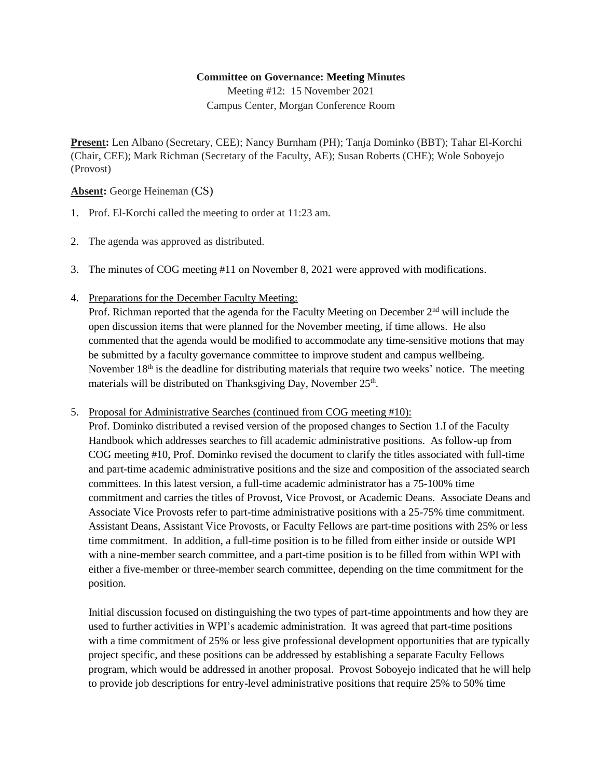## **Committee on Governance: Meeting Minutes**

Meeting #12: 15 November 2021 Campus Center, Morgan Conference Room

**Present:** Len Albano (Secretary, CEE); Nancy Burnham (PH); Tanja Dominko (BBT); Tahar El-Korchi (Chair, CEE); Mark Richman (Secretary of the Faculty, AE); Susan Roberts (CHE); Wole Soboyejo (Provost)

**Absent:** George Heineman (CS)

- 1. Prof. El-Korchi called the meeting to order at 11:23 am.
- 2. The agenda was approved as distributed.
- 3. The minutes of COG meeting #11 on November 8, 2021 were approved with modifications.
- 4. Preparations for the December Faculty Meeting:

Prof. Richman reported that the agenda for the Faculty Meeting on December 2<sup>nd</sup> will include the open discussion items that were planned for the November meeting, if time allows. He also commented that the agenda would be modified to accommodate any time-sensitive motions that may be submitted by a faculty governance committee to improve student and campus wellbeing. November  $18<sup>th</sup>$  is the deadline for distributing materials that require two weeks' notice. The meeting materials will be distributed on Thanksgiving Day, November 25<sup>th</sup>.

## 5. Proposal for Administrative Searches (continued from COG meeting #10):

Prof. Dominko distributed a revised version of the proposed changes to Section 1.I of the Faculty Handbook which addresses searches to fill academic administrative positions. As follow-up from COG meeting #10, Prof. Dominko revised the document to clarify the titles associated with full-time and part-time academic administrative positions and the size and composition of the associated search committees. In this latest version, a full-time academic administrator has a 75-100% time commitment and carries the titles of Provost, Vice Provost, or Academic Deans. Associate Deans and Associate Vice Provosts refer to part-time administrative positions with a 25-75% time commitment. Assistant Deans, Assistant Vice Provosts, or Faculty Fellows are part-time positions with 25% or less time commitment. In addition, a full-time position is to be filled from either inside or outside WPI with a nine-member search committee, and a part-time position is to be filled from within WPI with either a five-member or three-member search committee, depending on the time commitment for the position.

Initial discussion focused on distinguishing the two types of part-time appointments and how they are used to further activities in WPI's academic administration. It was agreed that part-time positions with a time commitment of 25% or less give professional development opportunities that are typically project specific, and these positions can be addressed by establishing a separate Faculty Fellows program, which would be addressed in another proposal. Provost Soboyejo indicated that he will help to provide job descriptions for entry-level administrative positions that require 25% to 50% time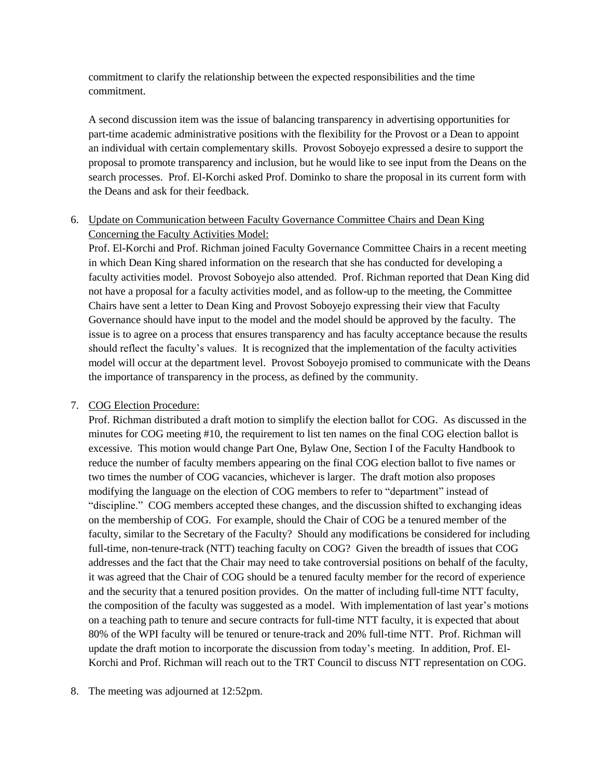commitment to clarify the relationship between the expected responsibilities and the time commitment.

A second discussion item was the issue of balancing transparency in advertising opportunities for part-time academic administrative positions with the flexibility for the Provost or a Dean to appoint an individual with certain complementary skills. Provost Soboyejo expressed a desire to support the proposal to promote transparency and inclusion, but he would like to see input from the Deans on the search processes. Prof. El-Korchi asked Prof. Dominko to share the proposal in its current form with the Deans and ask for their feedback.

## 6. Update on Communication between Faculty Governance Committee Chairs and Dean King Concerning the Faculty Activities Model:

Prof. El-Korchi and Prof. Richman joined Faculty Governance Committee Chairs in a recent meeting in which Dean King shared information on the research that she has conducted for developing a faculty activities model. Provost Soboyejo also attended. Prof. Richman reported that Dean King did not have a proposal for a faculty activities model, and as follow-up to the meeting, the Committee Chairs have sent a letter to Dean King and Provost Soboyejo expressing their view that Faculty Governance should have input to the model and the model should be approved by the faculty. The issue is to agree on a process that ensures transparency and has faculty acceptance because the results should reflect the faculty's values. It is recognized that the implementation of the faculty activities model will occur at the department level. Provost Soboyejo promised to communicate with the Deans the importance of transparency in the process, as defined by the community.

## 7. COG Election Procedure:

Prof. Richman distributed a draft motion to simplify the election ballot for COG. As discussed in the minutes for COG meeting #10, the requirement to list ten names on the final COG election ballot is excessive. This motion would change Part One, Bylaw One, Section I of the Faculty Handbook to reduce the number of faculty members appearing on the final COG election ballot to five names or two times the number of COG vacancies, whichever is larger. The draft motion also proposes modifying the language on the election of COG members to refer to "department" instead of "discipline." COG members accepted these changes, and the discussion shifted to exchanging ideas on the membership of COG. For example, should the Chair of COG be a tenured member of the faculty, similar to the Secretary of the Faculty? Should any modifications be considered for including full-time, non-tenure-track (NTT) teaching faculty on COG? Given the breadth of issues that COG addresses and the fact that the Chair may need to take controversial positions on behalf of the faculty, it was agreed that the Chair of COG should be a tenured faculty member for the record of experience and the security that a tenured position provides. On the matter of including full-time NTT faculty, the composition of the faculty was suggested as a model. With implementation of last year's motions on a teaching path to tenure and secure contracts for full-time NTT faculty, it is expected that about 80% of the WPI faculty will be tenured or tenure-track and 20% full-time NTT. Prof. Richman will update the draft motion to incorporate the discussion from today's meeting. In addition, Prof. El-Korchi and Prof. Richman will reach out to the TRT Council to discuss NTT representation on COG.

8. The meeting was adjourned at 12:52pm.